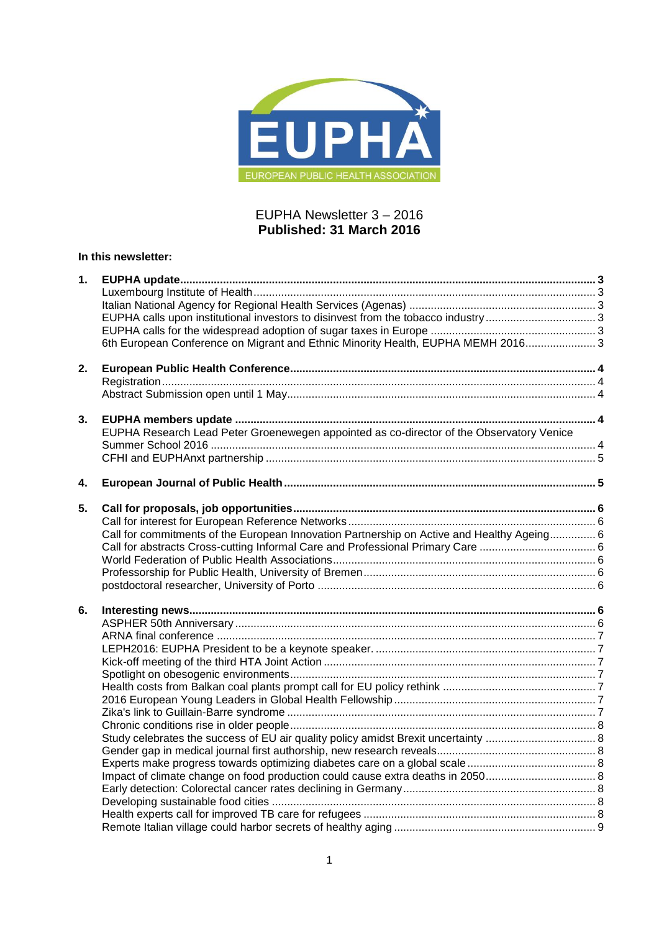

# EUPHA Newsletter 3 – 2016 **Published: 31 March 2016**

# **In this newsletter:**

| 6th European Conference on Migrant and Ethnic Minority Health, EUPHA MEMH 2016 3<br>2.<br>EUPHA Research Lead Peter Groenewegen appointed as co-director of the Observatory Venice<br>4.<br>Call for commitments of the European Innovation Partnership on Active and Healthy Ageing 6<br>6.<br>Impact of climate change on food production could cause extra deaths in 2050 | 1. |  |
|------------------------------------------------------------------------------------------------------------------------------------------------------------------------------------------------------------------------------------------------------------------------------------------------------------------------------------------------------------------------------|----|--|
|                                                                                                                                                                                                                                                                                                                                                                              |    |  |
|                                                                                                                                                                                                                                                                                                                                                                              |    |  |
|                                                                                                                                                                                                                                                                                                                                                                              |    |  |
|                                                                                                                                                                                                                                                                                                                                                                              |    |  |
|                                                                                                                                                                                                                                                                                                                                                                              |    |  |
|                                                                                                                                                                                                                                                                                                                                                                              |    |  |
|                                                                                                                                                                                                                                                                                                                                                                              |    |  |
|                                                                                                                                                                                                                                                                                                                                                                              |    |  |
|                                                                                                                                                                                                                                                                                                                                                                              |    |  |
|                                                                                                                                                                                                                                                                                                                                                                              | 3. |  |
|                                                                                                                                                                                                                                                                                                                                                                              |    |  |
|                                                                                                                                                                                                                                                                                                                                                                              |    |  |
|                                                                                                                                                                                                                                                                                                                                                                              |    |  |
|                                                                                                                                                                                                                                                                                                                                                                              |    |  |
|                                                                                                                                                                                                                                                                                                                                                                              |    |  |
|                                                                                                                                                                                                                                                                                                                                                                              | 5. |  |
|                                                                                                                                                                                                                                                                                                                                                                              |    |  |
|                                                                                                                                                                                                                                                                                                                                                                              |    |  |
|                                                                                                                                                                                                                                                                                                                                                                              |    |  |
|                                                                                                                                                                                                                                                                                                                                                                              |    |  |
|                                                                                                                                                                                                                                                                                                                                                                              |    |  |
|                                                                                                                                                                                                                                                                                                                                                                              |    |  |
|                                                                                                                                                                                                                                                                                                                                                                              |    |  |
|                                                                                                                                                                                                                                                                                                                                                                              |    |  |
|                                                                                                                                                                                                                                                                                                                                                                              |    |  |
|                                                                                                                                                                                                                                                                                                                                                                              |    |  |
|                                                                                                                                                                                                                                                                                                                                                                              |    |  |
|                                                                                                                                                                                                                                                                                                                                                                              |    |  |
|                                                                                                                                                                                                                                                                                                                                                                              |    |  |
|                                                                                                                                                                                                                                                                                                                                                                              |    |  |
|                                                                                                                                                                                                                                                                                                                                                                              |    |  |
|                                                                                                                                                                                                                                                                                                                                                                              |    |  |
|                                                                                                                                                                                                                                                                                                                                                                              |    |  |
|                                                                                                                                                                                                                                                                                                                                                                              |    |  |
|                                                                                                                                                                                                                                                                                                                                                                              |    |  |
|                                                                                                                                                                                                                                                                                                                                                                              |    |  |
|                                                                                                                                                                                                                                                                                                                                                                              |    |  |
|                                                                                                                                                                                                                                                                                                                                                                              |    |  |
|                                                                                                                                                                                                                                                                                                                                                                              |    |  |
|                                                                                                                                                                                                                                                                                                                                                                              |    |  |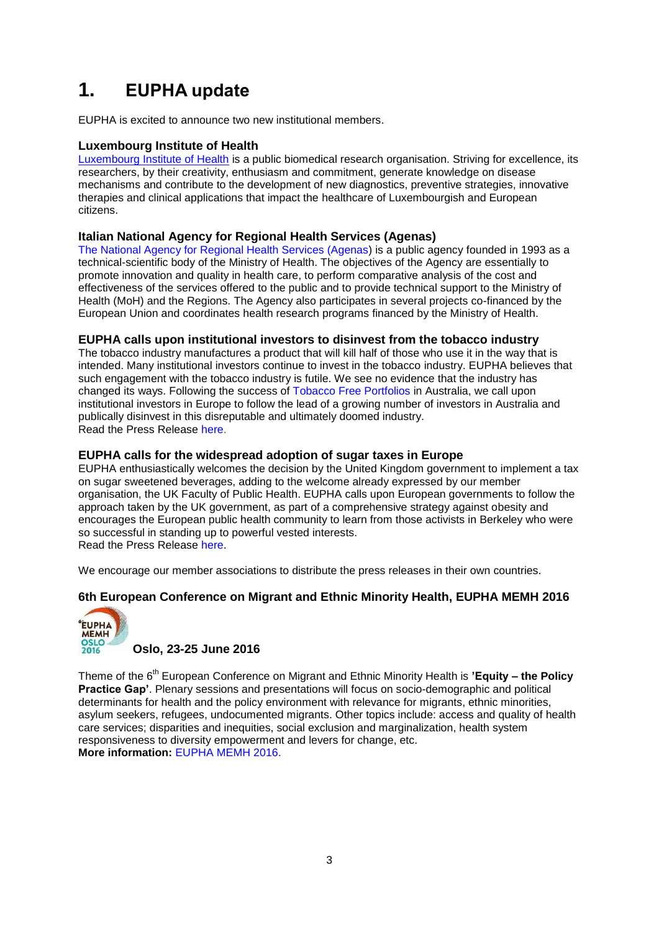# <span id="page-2-0"></span>**1. EUPHA update**

EUPHA is excited to announce two new institutional members.

# <span id="page-2-1"></span>**Luxembourg Institute of Health**

[Luxembourg Institute of Health](https://www.lih.lu/) is a public biomedical research organisation. Striving for excellence, its researchers, by their creativity, enthusiasm and commitment, generate knowledge on disease mechanisms and contribute to the development of new diagnostics, preventive strategies, innovative therapies and clinical applications that impact the healthcare of Luxembourgish and European citizens.

# <span id="page-2-2"></span>**Italian National Agency for Regional Health Services (Agenas)**

[The National Agency for Regional Health Services \(Agenas\)](http://www.inahta.org/our-members/members/agenas/) is a public agency founded in 1993 as a technical-scientific body of the Ministry of Health. The objectives of the Agency are essentially to promote innovation and quality in health care, to perform comparative analysis of the cost and effectiveness of the services offered to the public and to provide technical support to the Ministry of Health (MoH) and the Regions. The Agency also participates in several projects co-financed by the European Union and coordinates health research programs financed by the Ministry of Health.

# <span id="page-2-3"></span>**EUPHA calls upon institutional investors to disinvest from the tobacco industry**

The tobacco industry manufactures a product that will kill half of those who use it in the way that is intended. Many institutional investors continue to invest in the tobacco industry. EUPHA believes that such engagement with the tobacco industry is futile. We see no evidence that the industry has changed its ways. Following the success of [Tobacco Free Portfolios](http://www.tobaccofreeportfolios.org/) in Australia, we call upon institutional investors in Europe to follow the lead of a growing number of investors in Australia and publically disinvest in this disreputable and ultimately doomed industry. Read the Press Release [here.](https://eupha.org/repository/advocacy/Disinvest_from_tobacco_industry_Press_Release.pdf)

# <span id="page-2-4"></span>**EUPHA calls for the widespread adoption of sugar taxes in Europe**

EUPHA enthusiastically welcomes the decision by the United Kingdom government to implement a tax on sugar sweetened beverages, adding to the welcome already expressed by our member organisation, the UK Faculty of Public Health. EUPHA calls upon European governments to follow the approach taken by the UK government, as part of a comprehensive strategy against obesity and encourages the European public health community to learn from those activists in Berkeley who were so successful in standing up to powerful vested interests. Read the Press Release [here.](https://eupha.org/repository/advocacy/Sugar_tax.pdf)

We encourage our member associations to distribute the press releases in their own countries.

# <span id="page-2-5"></span>**6th European Conference on Migrant and Ethnic Minority Health, EUPHA MEMH 2016**



## **Oslo, 23-25 June 2016**

Theme of the 6th European Conference on Migrant and Ethnic Minority Health is **'Equity – the Policy Practice Gap'**. Plenary sessions and presentations will focus on socio-demographic and political determinants for health and the policy environment with relevance for migrants, ethnic minorities, asylum seekers, refugees, undocumented migrants. Other topics include: access and quality of health care services; disparities and inequities, social exclusion and marginalization, health system responsiveness to diversity empowerment and levers for change, etc. **More information:** [EUPHA MEMH 2016.](http://eupha-migranthealthconference.com/)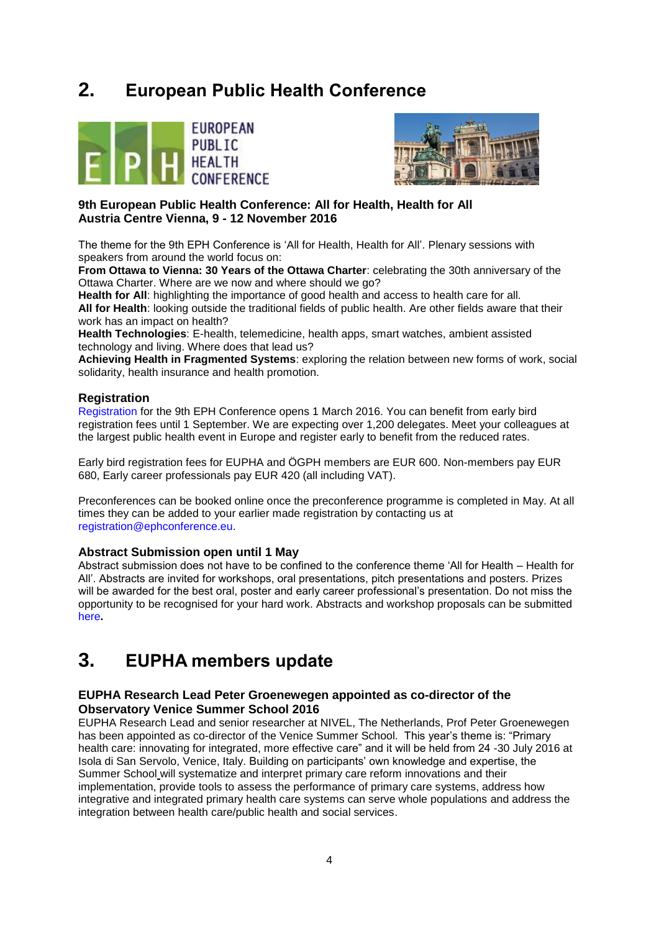# <span id="page-3-0"></span>**2. European Public Health Conference**





# **9th European Public Health Conference: All for Health, Health for All Austria Centre Vienna, 9 - 12 November 2016**

The theme for the 9th EPH Conference is 'All for Health, Health for All'. Plenary sessions with speakers from around the world focus on:

**From Ottawa to Vienna: 30 Years of the Ottawa Charter**: celebrating the 30th anniversary of the Ottawa Charter. Where are we now and where should we go?

**Health for All**: highlighting the importance of good health and access to health care for all. **All for Health**: looking outside the traditional fields of public health. Are other fields aware that their work has an impact on health?

**Health Technologies**: E-health, telemedicine, health apps, smart watches, ambient assisted technology and living. Where does that lead us?

**Achieving Health in Fragmented Systems**: exploring the relation between new forms of work, social solidarity, health insurance and health promotion.

# <span id="page-3-1"></span>**Registration**

[Registration](https://ephconference.eu/) for the 9th EPH Conference opens 1 March 2016. You can benefit from early bird registration fees until 1 September. We are expecting over 1,200 delegates. Meet your colleagues at the largest public health event in Europe and register early to benefit from the reduced rates.

Early bird registration fees for EUPHA and ÖGPH members are EUR 600. Non-members pay EUR 680, Early career professionals pay EUR 420 (all including VAT).

Preconferences can be booked online once the preconference programme is completed in May. At all times they can be added to your earlier made registration by contacting us at [registration@ephconference.eu.](mailto:registration@ephconference.eu)

## <span id="page-3-2"></span>**Abstract Submission open until 1 May**

Abstract submission does not have to be confined to the conference theme 'All for Health – Health for All'. Abstracts are invited for workshops, oral presentations, pitch presentations and posters. Prizes will be awarded for the best oral, poster and early career professional's presentation. Do not miss the opportunity to be recognised for your hard work. Abstracts and workshop proposals can be submitted [here](https://ephconference.eu/)**.**

# <span id="page-3-3"></span>**3. EUPHA members update**

## <span id="page-3-4"></span>**EUPHA Research Lead [Peter Groenewegen appointed as co-director of the](http://www.euprimarycare.org/news/prof-peter-groenewegen-co-director-venice-summer-school-2016)  [Observatory Venice Summer School 2016](http://www.euprimarycare.org/news/prof-peter-groenewegen-co-director-venice-summer-school-2016)**

EUPHA Research Lead and senior researcher at NIVEL, The Netherlands, Prof Peter Groenewegen has been appointed as co-director of the Venice Summer School. This year's theme is: "Primary health care: innovating for integrated, more effective care" and it will be held from 24 -30 July 2016 at Isola di San Servolo, Venice, Italy. Building on participants' own knowledge and expertise, the [Summer School](http://theobservatorysummerschool.org/) will systematize and interpret primary care reform innovations and their implementation, provide tools to assess the performance of primary care systems, address how integrative and integrated primary health care systems can serve whole populations and address the integration between health care/public health and social services.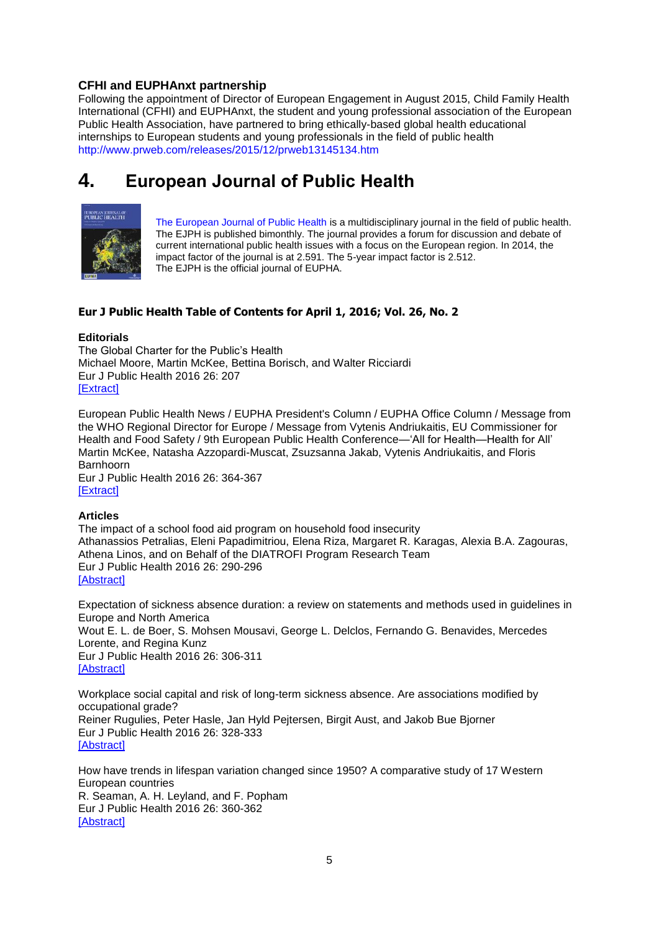# <span id="page-4-0"></span>**CFHI and EUPHAnxt partnership**

Following the appointment of Director of European Engagement in August 2015, Child Family Health International (CFHI) and EUPHAnxt, the student and young professional association of the European Public Health Association, have partnered to bring ethically-based global health educational internships to European students and young professionals in the field of public health <http://www.prweb.com/releases/2015/12/prweb13145134.htm>

# <span id="page-4-1"></span>**4. European Journal of Public Health**



[The European Journal of Public Health](http://eurpub.oxfordjournals.org/) is a multidisciplinary journal in the field of public health. The EJPH is published bimonthly. The journal provides a forum for discussion and debate of current international public health issues with a focus on the European region. In 2014, the impact factor of the journal is at 2.591. The 5-year impact factor is 2.512. The EJPH is the official journal of EUPHA.

# **Eur J Public Health Table of Contents for April 1, 2016; Vol. 26, No. 2**

## **Editorials**

The Global Charter for the Public's Health Michael Moore, Martin McKee, Bettina Borisch, and Walter Ricciardi Eur J Public Health 2016 26: 207 **[\[Extract\]](http://eurpub.oxfordjournals.org/content/26/2/207.extract?etoc)** 

European Public Health News / EUPHA President's Column / EUPHA Office Column / Message from the WHO Regional Director for Europe / Message from Vytenis Andriukaitis, EU Commissioner for Health and Food Safety / 9th European Public Health Conference—'All for Health—Health for All' Martin McKee, Natasha Azzopardi-Muscat, Zsuzsanna Jakab, Vytenis Andriukaitis, and Floris Barnhoorn Eur J Public Health 2016 26: 364-367

[\[Extract\]](http://eurpub.oxfordjournals.org/content/26/2/364.extract?etoc)

## **Articles**

The impact of a school food aid program on household food insecurity Athanassios Petralias, Eleni Papadimitriou, Elena Riza, Margaret R. Karagas, Alexia B.A. Zagouras, Athena Linos, and on Behalf of the DIATROFI Program Research Team Eur J Public Health 2016 26: 290-296 [\[Abstract\]](http://eurpub.oxfordjournals.org/content/26/2/290.abstract?etoc)

Expectation of sickness absence duration: a review on statements and methods used in guidelines in Europe and North America Wout E. L. de Boer, S. Mohsen Mousavi, George L. Delclos, Fernando G. Benavides, Mercedes Lorente, and Regina Kunz Eur J Public Health 2016 26: 306-311 [\[Abstract\]](http://eurpub.oxfordjournals.org/content/26/2/306.abstract?etoc)

Workplace social capital and risk of long-term sickness absence. Are associations modified by occupational grade? Reiner Rugulies, Peter Hasle, Jan Hyld Pejtersen, Birgit Aust, and Jakob Bue Bjorner Eur J Public Health 2016 26: 328-333 [\[Abstract\]](http://eurpub.oxfordjournals.org/content/26/2/328.abstract?etoc)

How have trends in lifespan variation changed since 1950? A comparative study of 17 Western European countries R. Seaman, A. H. Leyland, and F. Popham Eur J Public Health 2016 26: 360-362 [\[Abstract\]](http://eurpub.oxfordjournals.org/content/26/2/360.abstract?etoc)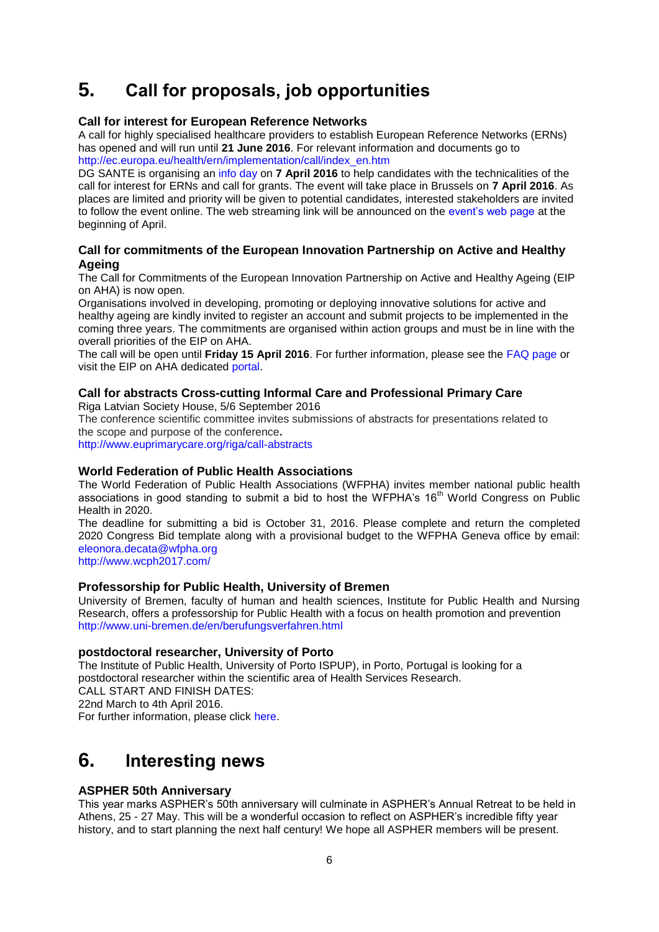# <span id="page-5-0"></span>**5. Call for proposals, job opportunities**

## <span id="page-5-1"></span>**Call for interest for European Reference Networks**

A call for highly specialised healthcare providers to establish European Reference Networks (ERNs) has opened and will run until **21 June 2016**. For relevant information and documents go to [http://ec.europa.eu/health/ern/implementation/call/index\\_en.htm](http://ec.europa.eu/health/ern/implementation/call/index_en.htm)

DG SANTE is organising an [info day](http://ec.europa.eu/health/ern/events/ev_20160407_en.htm) on **7 April 2016** to help candidates with the technicalities of the call for interest for ERNs and call for grants. The event will take place in Brussels on **7 April 2016**. As places are limited and priority will be given to potential candidates, interested stakeholders are invited to follow the event online. The web streaming link will be announced on the [event's web page](http://ec.europa.eu/health/ern/events/ev_20160407_en.htm) at the beginning of April.

# <span id="page-5-2"></span>**Call for commitments of the European Innovation Partnership on Active and Healthy Ageing**

The Call for Commitments of the European Innovation Partnership on Active and Healthy Ageing (EIP on AHA) is now open.

Organisations involved in developing, promoting or deploying innovative solutions for active and healthy ageing are kindly invited to register an account and submit projects to be implemented in the coming three years. The commitments are organised within action groups and must be in line with the overall priorities of the EIP on AHA.

The call will be open until **Friday 15 April 2016**. For further information, please see the [FAQ page](http://cts.vresp.com/c/?EHMANews/b984b0a575/d50d458cb2/792b9aa0e1) or visit the EIP on AHA dedicated [portal.](http://cts.vresp.com/c/?EHMANews/b984b0a575/d50d458cb2/58f9b93e0e)

### <span id="page-5-3"></span>**Call for abstracts Cross-cutting Informal Care and Professional Primary Care** Riga Latvian Society House, 5/6 September 2016

The conference scientific committee invites submissions of abstracts for presentations related to the scope and purpose of the conference**.**

<http://www.euprimarycare.org/riga/call-abstracts>

## <span id="page-5-4"></span>**World Federation of Public Health Associations**

The World Federation of Public Health Associations (WFPHA) invites member national public health associations in good standing to submit a bid to host the WFPHA's 16<sup>th</sup> World Congress on Public Health in 2020.

The deadline for submitting a bid is October 31, 2016. Please complete and return the completed 2020 Congress Bid template along with a provisional budget to the WFPHA Geneva office by email: [eleonora.decata@wfpha.org](mailto:eleonora.decata@wfpha.org)

<http://www.wcph2017.com/>

# <span id="page-5-5"></span>**Professorship for Public Health, University of Bremen**

University of Bremen, faculty of human and health sciences, Institute for Public Health and Nursing Research, offers a professorship for Public Health with a focus on health promotion and prevention <http://www.uni-bremen.de/en/berufungsverfahren.html>

## <span id="page-5-6"></span>**postdoctoral researcher, University of Porto**

The Institute of Public Health, University of Porto ISPUP), in Porto, Portugal is looking for a postdoctoral researcher within the scientific area of Health Services Research. CALL START AND FINISH DATES: 22nd March to 4th April 2016. For further information, please click here.

# <span id="page-5-7"></span>**6. Interesting news**

# <span id="page-5-8"></span>**ASPHER 50th Anniversary**

This year marks ASPHER's 50th anniversary will culminate in ASPHER's Annual Retreat to be held in Athens, 25 - 27 May. This will be a wonderful occasion to reflect on ASPHER's incredible fifty year history, and to start planning the next half century! We hope all ASPHER members will be present.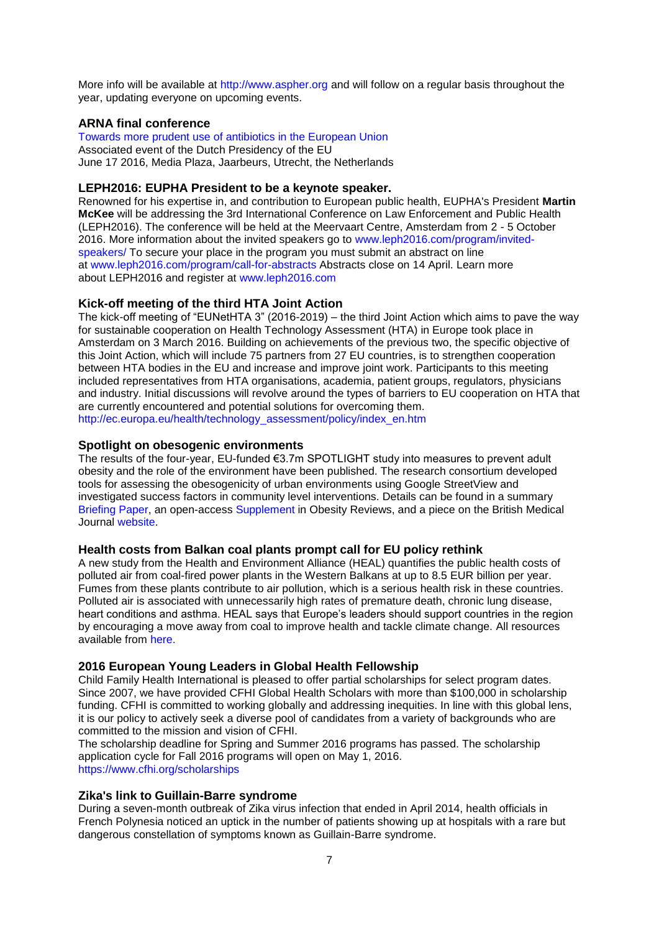More info will be available at [http://www.aspher.org](http://www.aspher.org/) and will follow on a regular basis throughout the year, updating everyone on upcoming events.

# <span id="page-6-0"></span>**ARNA final conference**

[Towards more prudent use of antibiotics in the European Union](https://www.nivel.nl/nl/node/4889) Associated event of the Dutch Presidency of the EU June 17 2016, Media Plaza, Jaarbeurs, Utrecht, the Netherlands

## <span id="page-6-1"></span>**LEPH2016: EUPHA President to be a keynote speaker.**

Renowned for his expertise in, and contribution to European public health, EUPHA's President **Martin McKee** will be addressing the 3rd International Conference on Law Enforcement and Public Health (LEPH2016). The conference will be held at the Meervaart Centre, Amsterdam from 2 - 5 October 2016. More information about the invited speakers go to [www.leph2016.com/program/invited](http://www.leph2016.com/program/invited-speakers/)[speakers/](http://www.leph2016.com/program/invited-speakers/) To secure your place in the program you must submit an abstract on line at [www.leph2016.com/program/call-for-abstracts](http://www.leph2016.com/program/call-for-abstracts) Abstracts close on 14 April. Learn more about LEPH2016 and register at [www.leph2016.com](http://www.leph2016.com/)

# <span id="page-6-2"></span>**Kick-off meeting of the third HTA Joint Action**

The kick-off meeting of "EUNetHTA 3" (2016-2019) – the third Joint Action which aims to pave the way for sustainable cooperation on Health Technology Assessment (HTA) in Europe took place in Amsterdam on 3 March 2016. Building on achievements of the previous two, the specific objective of this Joint Action, which will include 75 partners from 27 EU countries, is to strengthen cooperation between HTA bodies in the EU and increase and improve joint work. Participants to this meeting included representatives from HTA organisations, academia, patient groups, regulators, physicians and industry. Initial discussions will revolve around the types of barriers to EU cooperation on HTA that are currently encountered and potential solutions for overcoming them. [http://ec.europa.eu/health/technology\\_assessment/policy/index\\_en.htm](http://ec.europa.eu/health/technology_assessment/policy/index_en.htm)

## <span id="page-6-3"></span>**Spotlight on obesogenic environments**

The results of the four-year, EU-funded €3.7m SPOTLIGHT study into measures to prevent adult obesity and the role of the environment have been published. The research consortium developed tools for assessing the obesogenicity of urban environments using Google StreetView and investigated success factors in community level interventions. Details can be found in a summary [Briefing Paper,](http://www.worldobesity.org/site_media/uploads/SPOTLIGHT_for_policy-making-summary.pdf) an open-access [Supplement](http://www.worldobesity.org/site_media/uploads/SPOTLIGHT-How_local_neighbourhoods_can_raise_your_obesity_risk.pdf) in Obesity Reviews, and a piece on the British Medical Journal [website.](http://blogs.bmj.com/bmj/2016/02/02/tim-lobstein-community-interventions-for-healthy-bodyweight-can-we-make-them-work/) 

## <span id="page-6-4"></span>**Health costs from Balkan coal plants prompt call for EU policy rethink**

A new study from the Health and Environment Alliance (HEAL) quantifies the public health costs of polluted air from coal-fired power plants in the Western Balkans at up to 8.5 EUR billion per year. Fumes from these plants contribute to air pollution, which is a serious health risk in these countries. Polluted air is associated with unnecessarily high rates of premature death, chronic lung disease, heart conditions and asthma. HEAL says that Europe's leaders should support countries in the region by encouraging a move away from coal to improve health and tackle climate change. All resources available from [here.](http://www.env-health.org/resources/projects/coal-s-unpaid-health-bill/coal-s-unpaid-health-bill-in-the/)

## <span id="page-6-5"></span>**2016 European Young Leaders in Global Health Fellowship**

Child Family Health International is pleased to offer partial scholarships for select program dates. Since 2007, we have provided CFHI Global Health Scholars with more than \$100,000 in scholarship funding. CFHI is committed to working globally and addressing inequities. In line with this global lens, it is our policy to actively seek a diverse pool of candidates from a variety of backgrounds who are committed to the mission and vision of CFHI.

The scholarship deadline for Spring and Summer 2016 programs has passed. The scholarship application cycle for Fall 2016 programs will open on May 1, 2016. <https://www.cfhi.org/scholarships>

## <span id="page-6-6"></span>**Zika's link to Guillain-Barre syndrome**

During a seven-month outbreak of Zika virus infection that ended in April 2014, health officials in French Polynesia noticed an uptick in the number of patients showing up at hospitals with a rare but dangerous constellation of symptoms known as Guillain-Barre syndrome.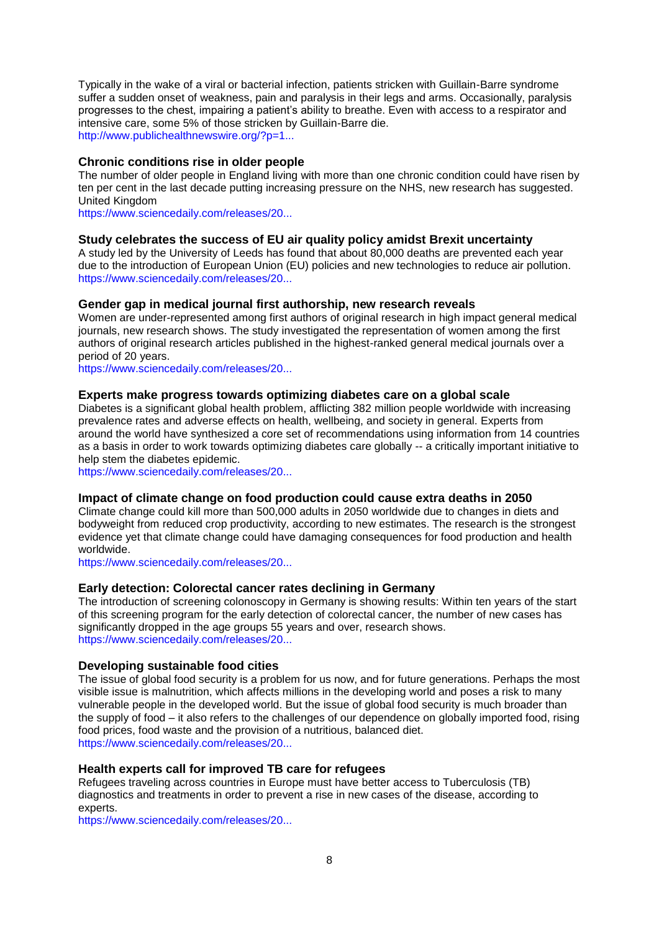Typically in the wake of a viral or bacterial infection, patients stricken with Guillain-Barre syndrome suffer a sudden onset of weakness, pain and paralysis in their legs and arms. Occasionally, paralysis progresses to the chest, impairing a patient's ability to breathe. Even with access to a respirator and intensive care, some 5% of those stricken by Guillain-Barre die. [http://www.publichealthnewswire.org/?p=1...](http://www.publichealthnewswire.org/?p=14770)

## <span id="page-7-0"></span>**Chronic conditions rise in older people**

The number of older people in England living with more than one chronic condition could have risen by ten per cent in the last decade putting increasing pressure on the NHS, new research has suggested. United Kingdom

[https://www.sciencedaily.com/releases/20...](http://euphapedia.eupha.org/newsletter/https:/www.sciencedaily.com/releases/2016/02/160229135345.htm?utm_source=feedburner&utm_medium=email&utm_campaign=Feed%3A+sciencedaily%2Fscience_society%2Fpublic_health+%28Public+Health+News+--+Scien)

## <span id="page-7-1"></span>**Study celebrates the success of EU air quality policy amidst Brexit uncertainty**

A study led by the University of Leeds has found that about 80,000 deaths are prevented each year due to the introduction of European Union (EU) policies and new technologies to reduce air pollution. [https://www.sciencedaily.com/releases/20...](http://euphapedia.eupha.org/newsletter/https:/www.sciencedaily.com/releases/2016/02/160229111933.htm?utm_source=feedburner&utm_medium=email&utm_campaign=Feed%3A+sciencedaily%2Fscience_society%2Fpublic_health+%28Public+Health+News+--+Scien)

## <span id="page-7-2"></span>**Gender gap in medical journal first authorship, new research reveals**

Women are under-represented among first authors of original research in high impact general medical journals, new research shows. The study investigated the representation of women among the first authors of original research articles published in the highest-ranked general medical journals over a period of 20 years.

[https://www.sciencedaily.com/releases/20...](http://euphapedia.eupha.org/newsletter/https:/www.sciencedaily.com/releases/2016/03/160303084815.htm?utm_source=feedburner&utm_medium=email&utm_campaign=Feed%3A+sciencedaily%2Fscience_society%2Fpublic_health+%28Public+Health+News+--+Scien)

## <span id="page-7-3"></span>**Experts make progress towards optimizing diabetes care on a global scale**

Diabetes is a significant global health problem, afflicting 382 million people worldwide with increasing prevalence rates and adverse effects on health, wellbeing, and society in general. Experts from around the world have synthesized a core set of recommendations using information from 14 countries as a basis in order to work towards optimizing diabetes care globally -- a critically important initiative to help stem the diabetes epidemic.

[https://www.sciencedaily.com/releases/20...](http://euphapedia.eupha.org/newsletter/https:/www.sciencedaily.com/releases/2016/03/160302121245.htm?utm_source=feedburner&utm_medium=email&utm_campaign=Feed%3A+sciencedaily%2Fscience_society%2Fpublic_health+%28Public+Health+News+--+Scien)

### <span id="page-7-4"></span>**Impact of climate change on food production could cause extra deaths in 2050**

Climate change could kill more than 500,000 adults in 2050 worldwide due to changes in diets and bodyweight from reduced crop productivity, according to new estimates. The research is the strongest evidence yet that climate change could have damaging consequences for food production and health worldwide.

[https://www.sciencedaily.com/releases/20...](http://euphapedia.eupha.org/newsletter/https:/www.sciencedaily.com/releases/2016/03/160302204506.htm?utm_source=feedburner&utm_medium=email&utm_campaign=Feed%3A+sciencedaily%2Fscience_society%2Fpublic_health+%28Public+Health+News+--+Scien)

## <span id="page-7-5"></span>**Early detection: Colorectal cancer rates declining in Germany**

The introduction of screening colonoscopy in Germany is showing results: Within ten years of the start of this screening program for the early detection of colorectal cancer, the number of new cases has significantly dropped in the age groups 55 years and over, research shows. [https://www.sciencedaily.com/releases/20...](http://euphapedia.eupha.org/newsletter/https:/www.sciencedaily.com/releases/2016/03/160311105656.htm?utm_source=feedburner&utm_medium=email&utm_campaign=Feed%3A+sciencedaily%2Fscience_society%2Fpublic_health+%28Public+Health+News+--+Scien)

#### <span id="page-7-6"></span>**Developing sustainable food cities**

The issue of global food security is a problem for us now, and for future generations. Perhaps the most visible issue is malnutrition, which affects millions in the developing world and poses a risk to many vulnerable people in the developed world. But the issue of global food security is much broader than the supply of food – it also refers to the challenges of our dependence on globally imported food, rising food prices, food waste and the provision of a nutritious, balanced diet. [https://www.sciencedaily.com/releases/20...](http://euphapedia.eupha.org/newsletter/https:/www.sciencedaily.com/releases/2016/03/160310080826.htm?utm_source=feedburner&utm_medium=email&utm_campaign=Feed%3A+sciencedaily%2Fscience_society%2Fpublic_health+%28Public+Health+News+--+Scien)

### <span id="page-7-7"></span>**Health experts call for improved TB care for refugees**

Refugees traveling across countries in Europe must have better access to Tuberculosis (TB) diagnostics and treatments in order to prevent a rise in new cases of the disease, according to experts.

[https://www.sciencedaily.com/releases/20...](http://euphapedia.eupha.org/newsletter/https:/www.sciencedaily.com/releases/2016/03/160323220411.htm?utm_source=feedburner&utm_medium=email&utm_campaign=Feed%3A+sciencedaily%2Fscience_society%2Fpublic_health+%28Public+Health+News+--+Scien)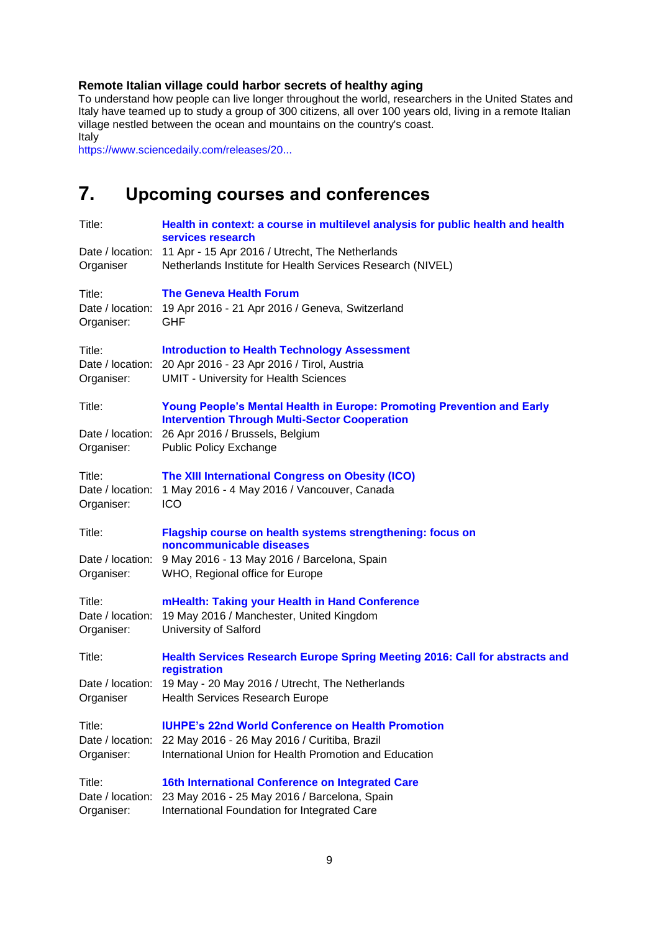# <span id="page-8-0"></span>**Remote Italian village could harbor secrets of healthy aging**

To understand how people can live longer throughout the world, researchers in the United States and Italy have teamed up to study a group of 300 citizens, all over 100 years old, living in a remote Italian village nestled between the ocean and mountains on the country's coast. Italy

[https://www.sciencedaily.com/releases/20...](http://euphapedia.eupha.org/newsletter/https:/www.sciencedaily.com/releases/2016/03/160329185329.htm?utm_source=feedburner&utm_medium=email&utm_campaign=Feed%3A+sciencedaily%2Fscience_society%2Fpublic_health+%28Public+Health+News+--+Scien)

# <span id="page-8-1"></span>**7. Upcoming courses and conferences**

| Title:                                   | Health in context: a course in multilevel analysis for public health and health<br>services research                                                               |
|------------------------------------------|--------------------------------------------------------------------------------------------------------------------------------------------------------------------|
| Date / location:                         | 11 Apr - 15 Apr 2016 / Utrecht, The Netherlands                                                                                                                    |
| Organiser                                | Netherlands Institute for Health Services Research (NIVEL)                                                                                                         |
| Title:<br>Date / location:<br>Organiser: | <b>The Geneva Health Forum</b><br>19 Apr 2016 - 21 Apr 2016 / Geneva, Switzerland<br><b>GHF</b>                                                                    |
| Title:<br>Organiser:                     | <b>Introduction to Health Technology Assessment</b><br>Date / location: 20 Apr 2016 - 23 Apr 2016 / Tirol, Austria<br><b>UMIT - University for Health Sciences</b> |
| Title:                                   | Young People's Mental Health in Europe: Promoting Prevention and Early                                                                                             |
|                                          | <b>Intervention Through Multi-Sector Cooperation</b>                                                                                                               |
| Date / location:<br>Organiser:           | 26 Apr 2016 / Brussels, Belgium<br><b>Public Policy Exchange</b>                                                                                                   |
|                                          |                                                                                                                                                                    |
| Title:                                   | The XIII International Congress on Obesity (ICO)                                                                                                                   |
| Date / location:                         | 1 May 2016 - 4 May 2016 / Vancouver, Canada                                                                                                                        |
| Organiser:                               | <b>ICO</b>                                                                                                                                                         |
| Title:                                   | Flagship course on health systems strengthening: focus on<br>noncommunicable diseases                                                                              |
| Date / location:                         | 9 May 2016 - 13 May 2016 / Barcelona, Spain                                                                                                                        |
| Organiser:                               | WHO, Regional office for Europe                                                                                                                                    |
| Title:<br>Date / location:<br>Organiser: | mHealth: Taking your Health in Hand Conference<br>19 May 2016 / Manchester, United Kingdom<br>University of Salford                                                |
| Title:                                   | <b>Health Services Research Europe Spring Meeting 2016: Call for abstracts and</b><br>registration                                                                 |
|                                          | Date / location: 19 May - 20 May 2016 / Utrecht, The Netherlands                                                                                                   |
| Organiser                                | <b>Health Services Research Europe</b>                                                                                                                             |
| Title:                                   | <b>IUHPE's 22nd World Conference on Health Promotion</b>                                                                                                           |
| Date / location:                         | 22 May 2016 - 26 May 2016 / Curitiba, Brazil                                                                                                                       |
| Organiser:                               | International Union for Health Promotion and Education                                                                                                             |
|                                          |                                                                                                                                                                    |
| Title:<br>Date / location:               | 16th International Conference on Integrated Care<br>23 May 2016 - 25 May 2016 / Barcelona, Spain                                                                   |
| Organiser:                               | International Foundation for Integrated Care                                                                                                                       |
|                                          |                                                                                                                                                                    |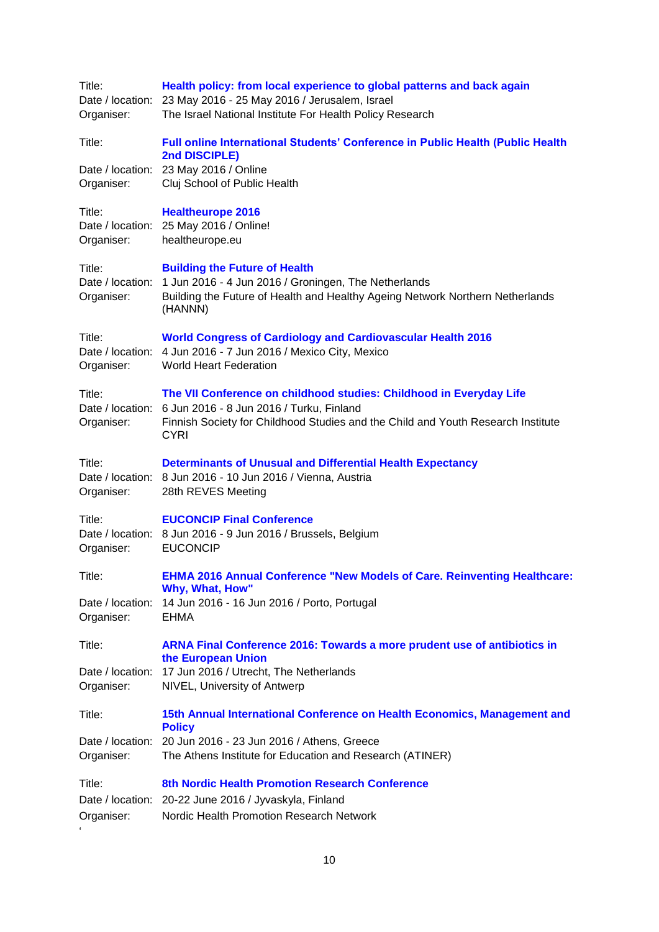| Title:<br>Organiser:               | Health policy: from local experience to global patterns and back again<br>Date / location: 23 May 2016 - 25 May 2016 / Jerusalem, Israel<br>The Israel National Institute For Health Policy Research                                |
|------------------------------------|-------------------------------------------------------------------------------------------------------------------------------------------------------------------------------------------------------------------------------------|
| Title:                             | Full online International Students' Conference in Public Health (Public Health<br>2nd DISCIPLE)                                                                                                                                     |
| Organiser:                         | Date / location: 23 May 2016 / Online<br>Cluj School of Public Health                                                                                                                                                               |
| Title:<br>Organiser:               | <b>Healtheurope 2016</b><br>Date / location: 25 May 2016 / Online!<br>healtheurope.eu                                                                                                                                               |
| Title:<br>Organiser:               | <b>Building the Future of Health</b><br>Date / location: 1 Jun 2016 - 4 Jun 2016 / Groningen, The Netherlands<br>Building the Future of Health and Healthy Ageing Network Northern Netherlands<br>(HANNN)                           |
| Title:<br>Organiser:               | <b>World Congress of Cardiology and Cardiovascular Health 2016</b><br>Date / location: 4 Jun 2016 - 7 Jun 2016 / Mexico City, Mexico<br><b>World Heart Federation</b>                                                               |
| Title:<br>Organiser:               | The VII Conference on childhood studies: Childhood in Everyday Life<br>Date / location: 6 Jun 2016 - 8 Jun 2016 / Turku, Finland<br>Finnish Society for Childhood Studies and the Child and Youth Research Institute<br><b>CYRI</b> |
| Title:<br>Organiser:               | <b>Determinants of Unusual and Differential Health Expectancy</b><br>Date / location: 8 Jun 2016 - 10 Jun 2016 / Vienna, Austria<br>28th REVES Meeting                                                                              |
| Title:<br>Organiser:               | <b>EUCONCIP Final Conference</b><br>Date / location: 8 Jun 2016 - 9 Jun 2016 / Brussels, Belgium<br><b>EUCONCIP</b>                                                                                                                 |
| Title:                             | <b>EHMA 2016 Annual Conference "New Models of Care. Reinventing Healthcare:</b><br>Why, What, How"                                                                                                                                  |
| Organiser:                         | Date / location: 14 Jun 2016 - 16 Jun 2016 / Porto, Portugal<br><b>EHMA</b>                                                                                                                                                         |
| Title:                             | ARNA Final Conference 2016: Towards a more prudent use of antibiotics in<br>the European Union                                                                                                                                      |
| Organiser:                         | Date / location: 17 Jun 2016 / Utrecht, The Netherlands<br>NIVEL, University of Antwerp                                                                                                                                             |
| Title:                             | 15th Annual International Conference on Health Economics, Management and<br><b>Policy</b>                                                                                                                                           |
| Organiser:                         | Date / location: 20 Jun 2016 - 23 Jun 2016 / Athens, Greece<br>The Athens Institute for Education and Research (ATINER)                                                                                                             |
| Title:<br>Organiser:<br>$\epsilon$ | 8th Nordic Health Promotion Research Conference<br>Date / location: 20-22 June 2016 / Jyvaskyla, Finland<br>Nordic Health Promotion Research Network                                                                                |
|                                    |                                                                                                                                                                                                                                     |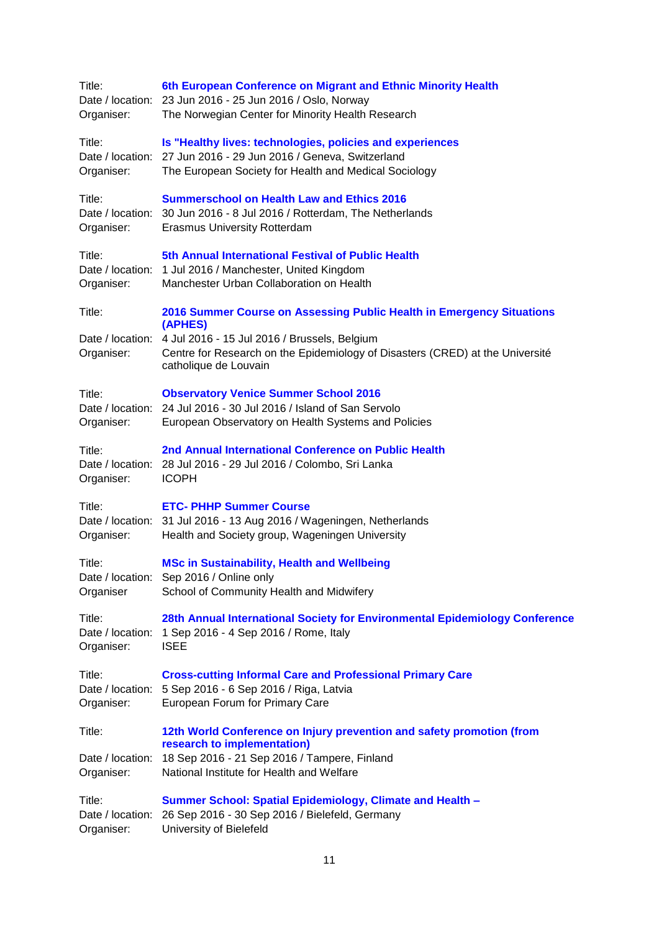| Title:<br>Organiser:                     | 6th European Conference on Migrant and Ethnic Minority Health<br>Date / location: 23 Jun 2016 - 25 Jun 2016 / Oslo, Norway<br>The Norwegian Center for Minority Health Research                                                            |
|------------------------------------------|--------------------------------------------------------------------------------------------------------------------------------------------------------------------------------------------------------------------------------------------|
| Title:<br>Organiser:                     | Is "Healthy lives: technologies, policies and experiences<br>Date / location: 27 Jun 2016 - 29 Jun 2016 / Geneva, Switzerland<br>The European Society for Health and Medical Sociology                                                     |
| Title:<br>Organiser:                     | <b>Summerschool on Health Law and Ethics 2016</b><br>Date / location: 30 Jun 2016 - 8 Jul 2016 / Rotterdam, The Netherlands<br><b>Erasmus University Rotterdam</b>                                                                         |
| Title:<br>Organiser:                     | 5th Annual International Festival of Public Health<br>Date / location: 1 Jul 2016 / Manchester, United Kingdom<br>Manchester Urban Collaboration on Health                                                                                 |
| Title:<br>Date / location:<br>Organiser: | 2016 Summer Course on Assessing Public Health in Emergency Situations<br>(APHES)<br>4 Jul 2016 - 15 Jul 2016 / Brussels, Belgium<br>Centre for Research on the Epidemiology of Disasters (CRED) at the Université<br>catholique de Louvain |
| Title:<br>Organiser:                     | <b>Observatory Venice Summer School 2016</b><br>Date / location: 24 Jul 2016 - 30 Jul 2016 / Island of San Servolo<br>European Observatory on Health Systems and Policies                                                                  |
| Title:<br>Organiser:                     | 2nd Annual International Conference on Public Health<br>Date / location: 28 Jul 2016 - 29 Jul 2016 / Colombo, Sri Lanka<br><b>ICOPH</b>                                                                                                    |
| Title:<br>Organiser:                     | <b>ETC- PHHP Summer Course</b><br>Date / location: 31 Jul 2016 - 13 Aug 2016 / Wageningen, Netherlands<br>Health and Society group, Wageningen University                                                                                  |
| Title:<br>Organiser                      | <b>MSc in Sustainability, Health and Wellbeing</b><br>Date / location: Sep 2016 / Online only<br>School of Community Health and Midwifery                                                                                                  |
| Title:<br>Date / location:<br>Organiser: | 28th Annual International Society for Environmental Epidemiology Conference<br>1 Sep 2016 - 4 Sep 2016 / Rome, Italy<br><b>ISEE</b>                                                                                                        |
| Title:<br>Organiser:                     | <b>Cross-cutting Informal Care and Professional Primary Care</b><br>Date / location: 5 Sep 2016 - 6 Sep 2016 / Riga, Latvia<br>European Forum for Primary Care                                                                             |
| Title:<br>Date / location:<br>Organiser: | 12th World Conference on Injury prevention and safety promotion (from<br>research to implementation)<br>18 Sep 2016 - 21 Sep 2016 / Tampere, Finland<br>National Institute for Health and Welfare                                          |
| Title:<br>Date / location:<br>Organiser: | <b>Summer School: Spatial Epidemiology, Climate and Health -</b><br>26 Sep 2016 - 30 Sep 2016 / Bielefeld, Germany<br>University of Bielefeld                                                                                              |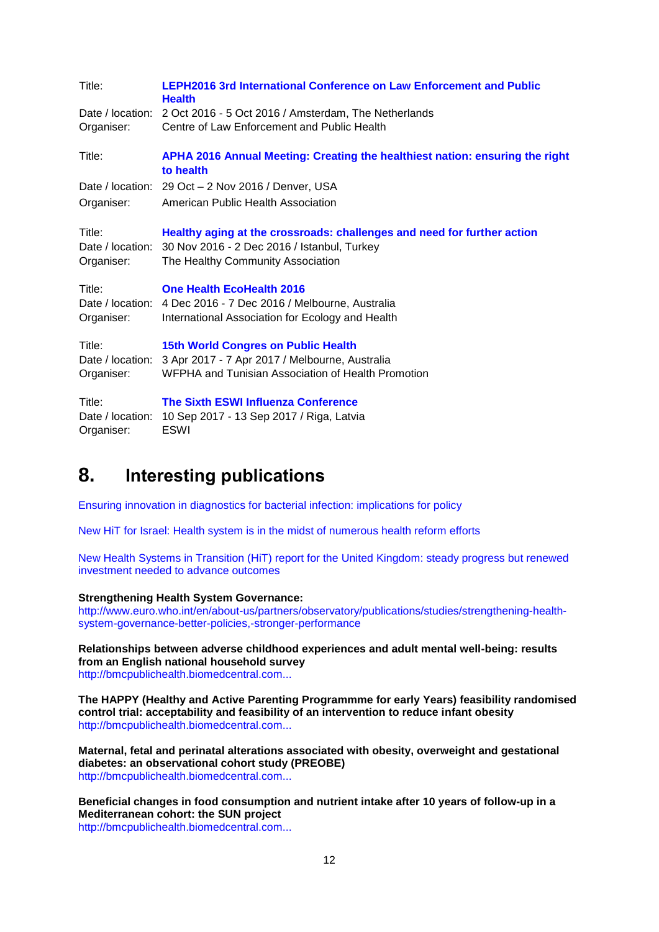| Title:               | <b>LEPH2016 3rd International Conference on Law Enforcement and Public</b><br><b>Health</b>                                                                                  |
|----------------------|------------------------------------------------------------------------------------------------------------------------------------------------------------------------------|
|                      | Date / location: 2 Oct 2016 - 5 Oct 2016 / Amsterdam, The Netherlands                                                                                                        |
| Organiser:           | Centre of Law Enforcement and Public Health                                                                                                                                  |
| Title:               | APHA 2016 Annual Meeting: Creating the healthiest nation: ensuring the right<br>to health                                                                                    |
|                      | Date / location: 29 Oct - 2 Nov 2016 / Denver, USA                                                                                                                           |
| Organiser:           | American Public Health Association                                                                                                                                           |
| Title:<br>Organiser: | Healthy aging at the crossroads: challenges and need for further action<br>Date / location: 30 Nov 2016 - 2 Dec 2016 / Istanbul, Turkey<br>The Healthy Community Association |
| Title:<br>Organiser: | <b>One Health EcoHealth 2016</b><br>Date / location: 4 Dec 2016 - 7 Dec 2016 / Melbourne, Australia<br>International Association for Ecology and Health                      |
| Title:<br>Organiser: | <b>15th World Congres on Public Health</b><br>Date / location: 3 Apr 2017 - 7 Apr 2017 / Melbourne, Australia<br>WFPHA and Tunisian Association of Health Promotion          |
| Title:<br>Organiser: | The Sixth ESWI Influenza Conference<br>Date / location: 10 Sep 2017 - 13 Sep 2017 / Riga, Latvia<br><b>ESWI</b>                                                              |

# <span id="page-11-0"></span>**8. Interesting publications**

[Ensuring innovation in diagnostics for bacterial infection: implications for policy](http://who.us4.list-manage.com/track/click?u=bb832ff4c9f8efad547ffcf69&id=f68f821d89&e=fb82f62761)

[New HiT for Israel: Health system is in the midst of numerous health reform efforts](http://who.us4.list-manage1.com/track/click?u=bb832ff4c9f8efad547ffcf69&id=42464ddc73&e=fb82f62761)

[New Health Systems in Transition \(HiT\) report for the United Kingdom: steady progress but renewed](http://who.us4.list-manage.com/track/click?u=bb832ff4c9f8efad547ffcf69&id=372f5105ab&e=fb82f62761)  [investment needed to advance outcomes](http://who.us4.list-manage.com/track/click?u=bb832ff4c9f8efad547ffcf69&id=372f5105ab&e=fb82f62761)

### **Strengthening Health System Governance:**

[http://www.euro.who.int/en/about-us/partners/observatory/publications/studies/strengthening-health](http://www.euro.who.int/en/about-us/partners/observatory/publications/studies/strengthening-health-system-governance-better-policies,-stronger-performance)[system-governance-better-policies,-stronger-performance](http://www.euro.who.int/en/about-us/partners/observatory/publications/studies/strengthening-health-system-governance-better-policies,-stronger-performance)

**Relationships between adverse childhood experiences and adult mental well-being: results from an English national household survey** [http://bmcpublichealth.biomedcentral.com...](http://bmcpublichealth.biomedcentral.com/articles/10.1186/s12889-016-2906-3)

**The HAPPY (Healthy and Active Parenting Programmme for early Years) feasibility randomised control trial: acceptability and feasibility of an intervention to reduce infant obesity** [http://bmcpublichealth.biomedcentral.com...](http://bmcpublichealth.biomedcentral.com/articles/10.1186/s12889-016-2861-z)

**Maternal, fetal and perinatal alterations associated with obesity, overweight and gestational diabetes: an observational cohort study (PREOBE)** [http://bmcpublichealth.biomedcentral.com...](http://bmcpublichealth.biomedcentral.com/articles/10.1186/s12889-016-2809-3)

**Beneficial changes in food consumption and nutrient intake after 10 years of follow-up in a Mediterranean cohort: the SUN project** [http://bmcpublichealth.biomedcentral.com...](http://bmcpublichealth.biomedcentral.com/articles/10.1186/s12889-016-2739-0)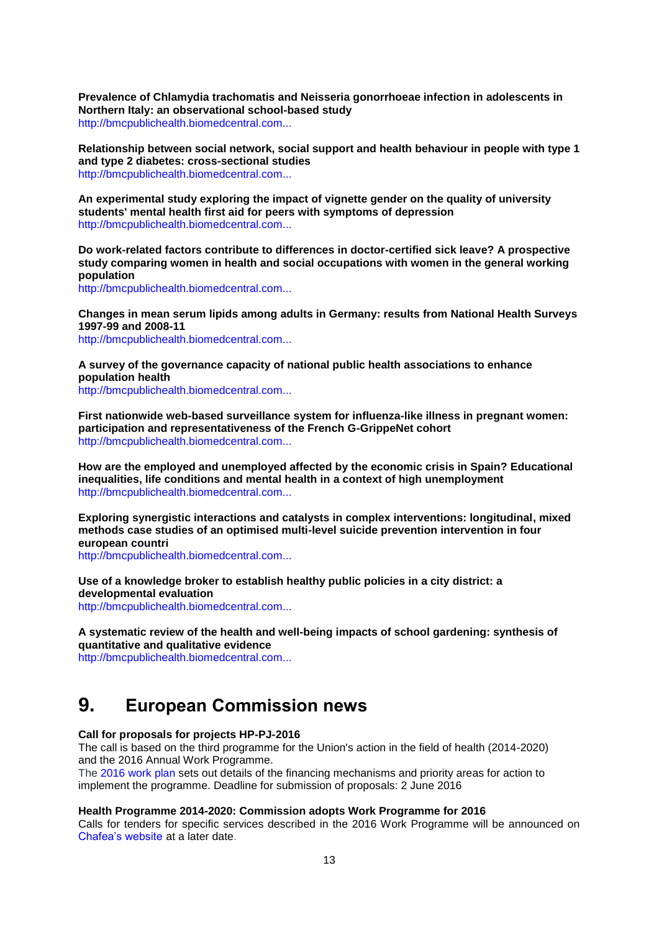**Prevalence of Chlamydia trachomatis and Neisseria gonorrhoeae infection in adolescents in Northern Italy: an observational school-based study** [http://bmcpublichealth.biomedcentral.com...](http://bmcpublichealth.biomedcentral.com/articles/10.1186/s12889-016-2839-x)

**Relationship between social network, social support and health behaviour in people with type 1 and type 2 diabetes: cross-sectional studies** [http://bmcpublichealth.biomedcentral.com...](http://bmcpublichealth.biomedcentral.com/articles/10.1186/s12889-016-2819-1)

**An experimental study exploring the impact of vignette gender on the quality of university students' mental health first aid for peers with symptoms of depression** [http://bmcpublichealth.biomedcentral.com...](http://bmcpublichealth.biomedcentral.com/articles/10.1186/s12889-016-2887-2)

**Do work-related factors contribute to differences in doctor-certified sick leave? A prospective study comparing women in health and social occupations with women in the general working population**

[http://bmcpublichealth.biomedcentral.com...](http://bmcpublichealth.biomedcentral.com/articles/10.1186/s12889-016-2908-1)

**Changes in mean serum lipids among adults in Germany: results from National Health Surveys 1997-99 and 2008-11**

[http://bmcpublichealth.biomedcentral.com...](http://bmcpublichealth.biomedcentral.com/articles/10.1186/s12889-016-2826-2)

**A survey of the governance capacity of national public health associations to enhance population health**

[http://bmcpublichealth.biomedcentral.com...](http://bmcpublichealth.biomedcentral.com/articles/10.1186/s12889-016-2935-y)

**First nationwide web-based surveillance system for influenza-like illness in pregnant women: participation and representativeness of the French G-GrippeNet cohort** [http://bmcpublichealth.biomedcentral.com...](http://bmcpublichealth.biomedcentral.com/articles/10.1186/s12889-016-2899-y)

**How are the employed and unemployed affected by the economic crisis in Spain? Educational inequalities, life conditions and mental health in a context of high unemployment** [http://bmcpublichealth.biomedcentral.com...](http://bmcpublichealth.biomedcentral.com/articles/10.1186/s12889-016-2934-z)

**Exploring synergistic interactions and catalysts in complex interventions: longitudinal, mixed methods case studies of an optimised multi-level suicide prevention intervention in four european countri**

[http://bmcpublichealth.biomedcentral.com...](http://bmcpublichealth.biomedcentral.com/articles/10.1186/s12889-016-2942-z)

**Use of a knowledge broker to establish healthy public policies in a city district: a developmental evaluation** [http://bmcpublichealth.biomedcentral.com...](http://bmcpublichealth.biomedcentral.com/articles/10.1186/s12889-016-2832-4)

**A systematic review of the health and well-being impacts of school gardening: synthesis of quantitative and qualitative evidence**

[http://bmcpublichealth.biomedcentral.com...](http://bmcpublichealth.biomedcentral.com/articles/10.1186/s12889-016-2941-0)

# <span id="page-12-0"></span>**9. European Commission news**

**Call for proposals for projects HP-PJ-2016**

The call is based on the third programme for the Union's action in the field of health (2014-2020) and the 2016 Annual Work Programme.

The [2016 work plan](http://ec.europa.eu/health/programme/events/adoption_workplan_2016_en.htm) sets out details of the financing mechanisms and priority areas for action to implement the programme. Deadline for submission of proposals: 2 June 2016

#### **Health Programme 2014-2020: Commission adopts Work Programme for 2016**

Calls for tenders for specific services described in the 2016 Work Programme will be announced on [Chafea's website](http://ec.europa.eu/chafea/) at a later date.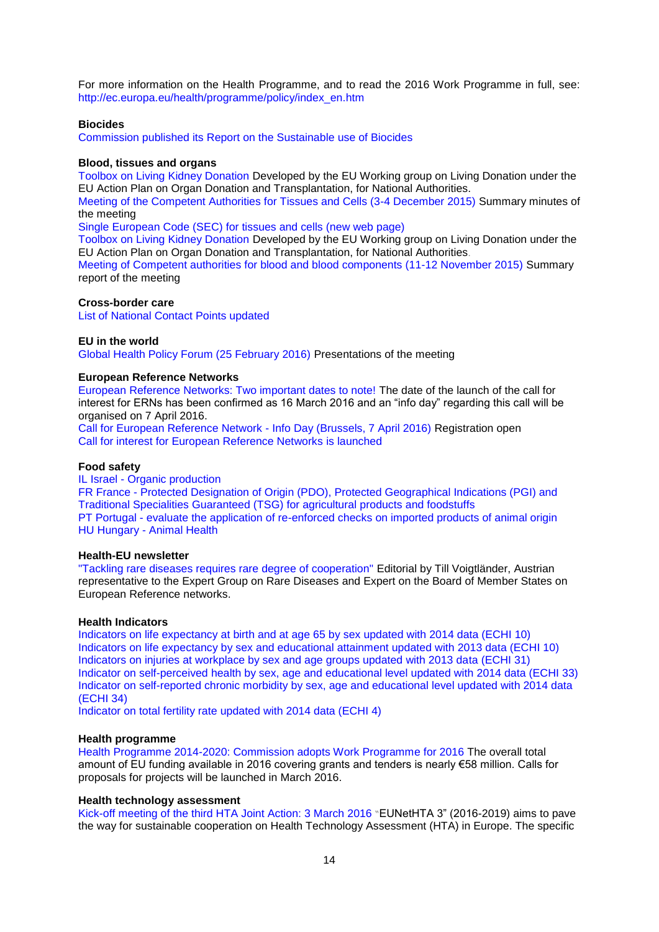For more information on the Health Programme, and to read the 2016 Work Programme in full, see: [http://ec.europa.eu/health/programme/policy/index\\_en.htm](http://ec.europa.eu/health/programme/policy/index_en.htm)

#### **Biocides**

[Commission published its Report on the Sustainable use of Biocides](http://ec.europa.eu/dgs/health_food-safety/dyna/enews/enews.cfm?al_id=1674)

## **Blood, tissues and organs**

[Toolbox on Living Kidney Donation](http://ec.europa.eu/health/blood_tissues_organs/docs/eutoolbox_living_kidney_donation_en.pdf) Developed by the EU Working group on Living Donation under the EU Action Plan on Organ Donation and Transplantation, for National Authorities.

[Meeting of the Competent Authorities for Tissues and Cells \(3-4 December 2015\)](http://ec.europa.eu/health/blood_tissues_organs/events/ev_20151203_en.htm) Summary minutes of the meeting

[Single European Code \(SEC\) for tissues and cells \(new web page\)](http://ec.europa.eu/health/blood_tissues_organs/tissues/single_european_code/index_en.htm)

[Toolbox on Living Kidney Donation](http://ec.europa.eu/health/blood_tissues_organs/docs/eutoolbox_living_kidney_donation_en.pdf) Developed by the EU Working group on Living Donation under the EU Action Plan on Organ Donation and Transplantation, for National Authorities.

[Meeting of Competent authorities for blood and blood components \(11-12 November 2015\)](http://ec.europa.eu/health/blood_tissues_organs/docs/ev_20151111_mi_en.pdf) Summary report of the meeting

### **Cross-border care**

[List of National Contact Points updated](http://ec.europa.eu/health/cross_border_care/docs/cbhc_ncp_en.pdf)

#### **EU in the world**

[Global Health Policy Forum \(25 February 2016\)](http://ec.europa.eu/health/eu_world/events/ev_20160225_en.htm) Presentations of the meeting

#### **European Reference Networks**

[European Reference Networks: Two important dates to note!](http://ec.europa.eu/dgs/health_food-safety/dyna/enews/enews.cfm?al_id=1672) The date of the launch of the call for interest for ERNs has been confirmed as 16 March 2016 and an "info day" regarding this call will be organised on 7 April 2016.

[Call for European Reference Network -](http://ec.europa.eu/health/ern/events/ev_20160407_en.htm) Info Day (Brussels, 7 April 2016) Registration open [Call for interest for European Reference Networks is launched](http://ec.europa.eu/dgs/health_food-safety/dyna/enews/enews.cfm?al_id=1673)

#### **Food safety**

IL Israel - [Organic production](http://ec.europa.eu/food/fvo/rep_details_en.cfm?rep_inspection_ref=2015-7353)

FR France - [Protected Designation of Origin \(PDO\), Protected Geographical Indications \(PGI\) and](http://ec.europa.eu/food/fvo/rep_details_en.cfm?rep_inspection_ref=2015-7413)  [Traditional Specialities Guaranteed \(TSG\) for agricultural products and foodstuffs](http://ec.europa.eu/food/fvo/rep_details_en.cfm?rep_inspection_ref=2015-7413) PT Portugal - [evaluate the application of re-enforced checks on imported products of animal origin](http://ec.europa.eu/food/fvo/rep_details_en.cfm?rep_inspection_ref=2015-7442) HU Hungary - [Animal Health](http://ec.europa.eu/food/fvo/rep_details_en.cfm?rep_inspection_ref=2015-7568)

#### **Health-EU newsletter**

["Tackling rare diseases requires rare degree of cooperation"](http://ec.europa.eu/health/newsletter/171/newsletter_en.htm) Editorial by Till Voigtländer, Austrian representative to the Expert Group on Rare Diseases and Expert on the Board of Member States on European Reference networks.

#### **Health Indicators**

[Indicators on life expectancy at birth and at age 65 by sex updated with 2014 data \(ECHI 10\)](http://ec.europa.eu/health/indicators/echi/list/index_en.htm#id2) [Indicators on life expectancy by sex and educational attainment updated with 2013 data \(ECHI 10\)](http://ec.europa.eu/health/indicators/echi/list/index_en.htm#id2) [Indicators on injuries at workplace by sex and age groups updated with 2013 data \(ECHI 31\)](http://ec.europa.eu/health/indicators/echi/list/index_en.htm#id2) [Indicator on self-perceived health by sex, age and educational level updated with 2014 data \(ECHI 33\)](http://ec.europa.eu/health/indicators/echi/list/index_en.htm#id2) [Indicator on self-reported chronic morbidity by sex, age and educational level updated with 2014 data](http://ec.europa.eu/health/indicators/echi/list/index_en.htm#id2)  [\(ECHI 34\)](http://ec.europa.eu/health/indicators/echi/list/index_en.htm#id2)

[Indicator on total fertility rate updated with 2014 data \(ECHI 4\)](http://ec.europa.eu/health/indicators/echi/list/index_en.htm#id1)

#### **Health programme**

[Health Programme 2014-2020: Commission adopts Work Programme for 2016](http://ec.europa.eu/dgs/health_food-safety/dyna/enews/enews.cfm?al_id=1667) The overall total amount of EU funding available in 2016 covering grants and tenders is nearly €58 million. Calls for proposals for projects will be launched in March 2016.

#### **Health technology assessment**

[Kick-off meeting of the third HTA Joint Action: 3 March 2016](http://ec.europa.eu/dgs/health_food-safety/dyna/enews/enews.cfm?al_id=1668) "EUNetHTA 3" (2016-2019) aims to pave the way for sustainable cooperation on Health Technology Assessment (HTA) in Europe. The specific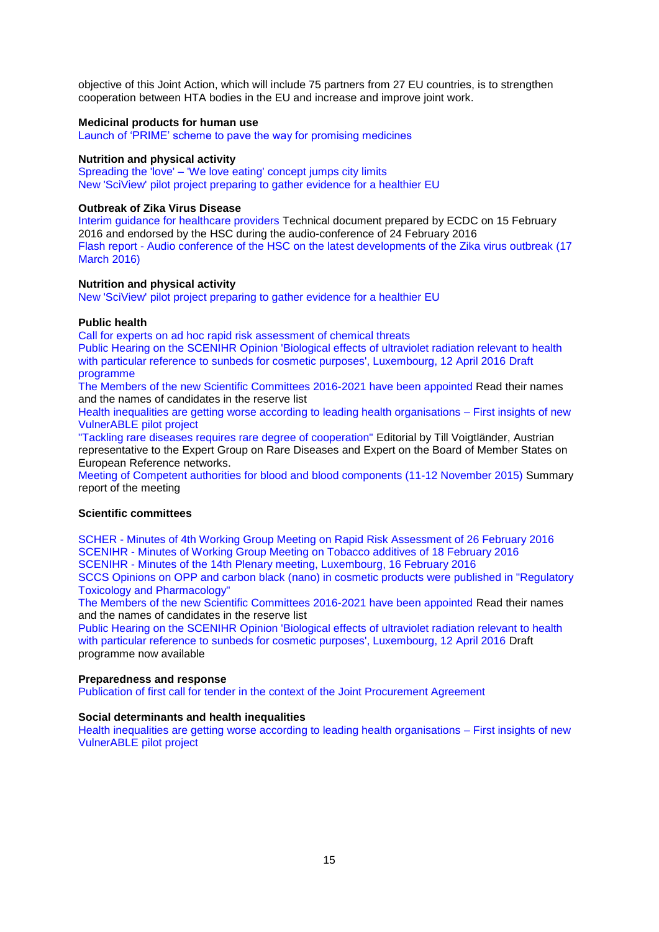objective of this Joint Action, which will include 75 partners from 27 EU countries, is to strengthen cooperation between HTA bodies in the EU and increase and improve joint work.

### **Medicinal products for human use**

[Launch of 'PRIME' scheme to pave the way for promising medicines](http://ec.europa.eu/dgs/health_food-safety/dyna/enews/enews.cfm?al_id=1670)

#### **Nutrition and physical activity**

Spreading the 'love' – ['We love eating' concept jumps city limits](http://ec.europa.eu/health/nutrition_physical_activity/projects/ep_funded_projects_en.htm#fragment0) [New 'SciView' pilot project preparing to gather evidence for a healthier EU](http://ec.europa.eu/health/nutrition_physical_activity/projects/ep_funded_projects_en.htm#fragment4)

#### **Outbreak of Zika Virus Disease**

[Interim guidance for healthcare providers](http://ec.europa.eu/health/preparedness_response/docs/zika_20160215_infoclinicians_en.pdf) Technical document prepared by ECDC on 15 February 2016 and endorsed by the HSC during the audio-conference of 24 February 2016 Flash report - [Audio conference of the HSC on the latest developments of the Zika virus outbreak \(17](http://ec.europa.eu/health/preparedness_response/docs/zika_ev_20160317_flash_en.pdf)  [March 2016\)](http://ec.europa.eu/health/preparedness_response/docs/zika_ev_20160317_flash_en.pdf)

#### **Nutrition and physical activity**

[New 'SciView' pilot project preparing to gather evidence for a healthier EU](http://ec.europa.eu/health/nutrition_physical_activity/projects/ep_funded_projects_en.htm#fragment4)

## **Public health**

[Call for experts on ad hoc rapid risk assessment of chemical threats](http://ec.europa.eu/health/scientific_committees/call_experts/call_experts_2016_en.htm)

[Public Hearing on the SCENIHR Opinion 'Biological effects of ultraviolet radiation relevant to health](http://ec.europa.eu/health/scientific_committees/events/ev_20160412_en.htm)  [with particular reference to sunbeds for cosmetic purposes', Luxembourg, 12 April 2016](http://ec.europa.eu/health/scientific_committees/events/ev_20160412_en.htm) Draft programme

[The Members of the new Scientific Committees 2016-2021 have been appointed](http://ec.europa.eu/health/scientific_committees/legal_documents/index_en.htm) Read their names and the names of candidates in the reserve list

[Health inequalities are getting worse according to leading health organisations –](http://ec.europa.eu/health/social_determinants/projects/ep_funded_projects_en.htm) First insights of new [VulnerABLE pilot project](http://ec.europa.eu/health/social_determinants/projects/ep_funded_projects_en.htm)

["Tackling rare diseases requires rare degree of cooperation"](http://ec.europa.eu/health/newsletter/171/newsletter_en.htm) Editorial by Till Voigtländer, Austrian representative to the Expert Group on Rare Diseases and Expert on the Board of Member States on European Reference networks.

[Meeting of Competent authorities for blood and blood components \(11-12 November 2015\) S](http://ec.europa.eu/health/blood_tissues_organs/docs/ev_20151111_mi_en.pdf)ummary report of the meeting

## **Scientific committees**

SCHER - [Minutes of 4th Working Group Meeting on Rapid Risk Assessment of 26 February 2016](http://ec.europa.eu/health/scientific_committees/environmental_risks/docs/scher_miwg_074.pdf) SCENIHR - [Minutes of Working Group Meeting on Tobacco additives of 18 February 2016](http://ec.europa.eu/health/scientific_committees/emerging/docs/scenihr_miwg_230.pdf) SCENIHR - [Minutes of the 14th Plenary meeting, Luxembourg, 16 February 2016](http://ec.europa.eu/health/scientific_committees/emerging/docs/scenihr_mi_plenary_14_en.pdf)

[SCCS Opinions on OPP and carbon black \(nano\) in cosmetic products were published in "Regulatory](http://ec.europa.eu/health/scientific_committees/scientific_journals/index_en.htm#cat_cosmetic)  [Toxicology and Pharmacology"](http://ec.europa.eu/health/scientific_committees/scientific_journals/index_en.htm#cat_cosmetic) 

[The Members of the new Scientific Committees 2016-2021 have been appointed](http://ec.europa.eu/health/scientific_committees/legal_documents/index_en.htm) Read their names and the names of candidates in the reserve list

[Public Hearing on the SCENIHR Opinion 'Biological effects of ultraviolet radiation relevant to health](http://ec.europa.eu/health/scientific_committees/events/ev_20160412_en.htm)  [with particular reference to sunbeds for cosmetic purposes', Luxembourg, 12 April 2016](http://ec.europa.eu/health/scientific_committees/events/ev_20160412_en.htm) Draft programme now available

#### **Preparedness and response**

[Publication of first call for tender in the context of the Joint Procurement Agreement](http://ec.europa.eu/dgs/health_food-safety/dyna/enews/enews.cfm?al_id=1675)

#### **Social determinants and health inequalities**

<span id="page-14-0"></span>[Health inequalities are getting worse according to leading health organisations –](http://ec.europa.eu/health/social_determinants/projects/ep_funded_projects_en.htm) First insights of new [VulnerABLE pilot project](http://ec.europa.eu/health/social_determinants/projects/ep_funded_projects_en.htm)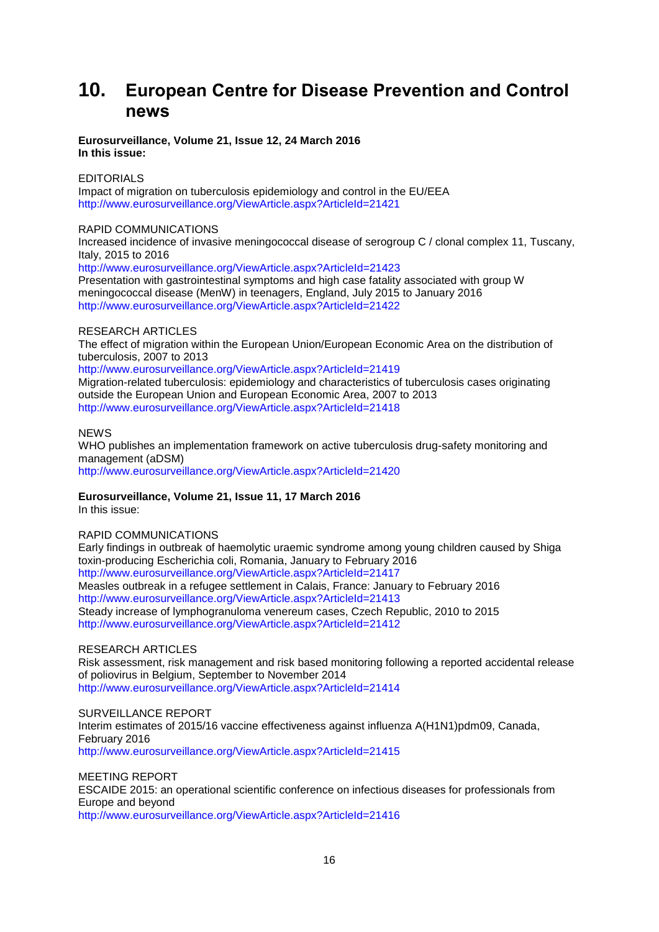# **10. European Centre for Disease Prevention and Control news**

## **Eurosurveillance, Volume 21, Issue 12, 24 March 2016 In this issue:**

## **EDITORIALS**

Impact of migration on tuberculosis epidemiology and control in the EU/EEA <http://www.eurosurveillance.org/ViewArticle.aspx?ArticleId=21421>

## RAPID COMMUNICATIONS

Increased incidence of invasive meningococcal disease of serogroup C / clonal complex 11, Tuscany, Italy, 2015 to 2016 <http://www.eurosurveillance.org/ViewArticle.aspx?ArticleId=21423>

Presentation with gastrointestinal symptoms and high case fatality associated with group W meningococcal disease (MenW) in teenagers, England, July 2015 to January 2016 <http://www.eurosurveillance.org/ViewArticle.aspx?ArticleId=21422>

## RESEARCH ARTICLES

The effect of migration within the European Union/European Economic Area on the distribution of tuberculosis, 2007 to 2013

<http://www.eurosurveillance.org/ViewArticle.aspx?ArticleId=21419> Migration-related tuberculosis: epidemiology and characteristics of tuberculosis cases originating outside the European Union and European Economic Area, 2007 to 2013 <http://www.eurosurveillance.org/ViewArticle.aspx?ArticleId=21418>

### **NEWS**

WHO publishes an implementation framework on active tuberculosis drug-safety monitoring and management (aDSM) <http://www.eurosurveillance.org/ViewArticle.aspx?ArticleId=21420>

## **Eurosurveillance, Volume 21, Issue 11, 17 March 2016**

In this issue:

## RAPID COMMUNICATIONS

Early findings in outbreak of haemolytic uraemic syndrome among young children caused by Shiga toxin-producing Escherichia coli, Romania, January to February 2016 <http://www.eurosurveillance.org/ViewArticle.aspx?ArticleId=21417> Measles outbreak in a refugee settlement in Calais, France: January to February 2016 <http://www.eurosurveillance.org/ViewArticle.aspx?ArticleId=21413> Steady increase of lymphogranuloma venereum cases, Czech Republic, 2010 to 2015 <http://www.eurosurveillance.org/ViewArticle.aspx?ArticleId=21412>

## RESEARCH ARTICLES

Risk assessment, risk management and risk based monitoring following a reported accidental release of poliovirus in Belgium, September to November 2014 <http://www.eurosurveillance.org/ViewArticle.aspx?ArticleId=21414>

## SURVEILLANCE REPORT

Interim estimates of 2015/16 vaccine effectiveness against influenza A(H1N1)pdm09, Canada, February 2016 <http://www.eurosurveillance.org/ViewArticle.aspx?ArticleId=21415>

MEETING REPORT ESCAIDE 2015: an operational scientific conference on infectious diseases for professionals from Europe and beyond <http://www.eurosurveillance.org/ViewArticle.aspx?ArticleId=21416>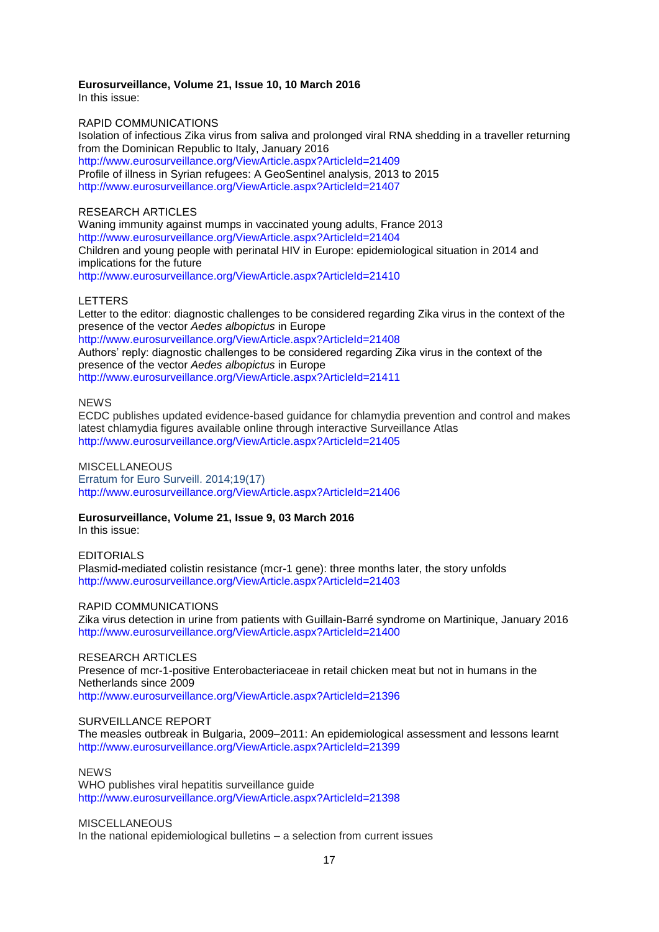### **Eurosurveillance, Volume 21, Issue 10, 10 March 2016**

In this issue:

#### RAPID COMMUNICATIONS

Isolation of infectious Zika virus from saliva and prolonged viral RNA shedding in a traveller returning from the Dominican Republic to Italy, January 2016 <http://www.eurosurveillance.org/ViewArticle.aspx?ArticleId=21409> Profile of illness in Syrian refugees: A GeoSentinel analysis, 2013 to 2015 <http://www.eurosurveillance.org/ViewArticle.aspx?ArticleId=21407>

## RESEARCH ARTICLES

Waning immunity against mumps in vaccinated young adults, France 2013 <http://www.eurosurveillance.org/ViewArticle.aspx?ArticleId=21404> Children and young people with perinatal HIV in Europe: epidemiological situation in 2014 and implications for the future <http://www.eurosurveillance.org/ViewArticle.aspx?ArticleId=21410>

#### LETTERS

Letter to the editor: diagnostic challenges to be considered regarding Zika virus in the context of the presence of the vector *Aedes albopictus* in Europe

<http://www.eurosurveillance.org/ViewArticle.aspx?ArticleId=21408> Authors' reply: diagnostic challenges to be considered regarding Zika virus in the context of the presence of the vector *Aedes albopictus* in Europe <http://www.eurosurveillance.org/ViewArticle.aspx?ArticleId=21411>

# NEWS

ECDC publishes updated evidence-based guidance for chlamydia prevention and control and makes latest chlamydia figures available online through interactive Surveillance Atlas <http://www.eurosurveillance.org/ViewArticle.aspx?ArticleId=21405>

**MISCELLANEOUS** Erratum for Euro Surveill. 2014;19(17) <http://www.eurosurveillance.org/ViewArticle.aspx?ArticleId=21406>

### **Eurosurveillance, Volume 21, Issue 9, 03 March 2016**

In this issue:

EDITORIALS Plasmid-mediated colistin resistance (mcr-1 gene): three months later, the story unfolds <http://www.eurosurveillance.org/ViewArticle.aspx?ArticleId=21403>

#### RAPID COMMUNICATIONS

Zika virus detection in urine from patients with Guillain-Barré syndrome on Martinique, January 2016 <http://www.eurosurveillance.org/ViewArticle.aspx?ArticleId=21400>

RESEARCH ARTICLES Presence of mcr-1-positive Enterobacteriaceae in retail chicken meat but not in humans in the Netherlands since 2009 <http://www.eurosurveillance.org/ViewArticle.aspx?ArticleId=21396>

## SURVEILLANCE REPORT

The measles outbreak in Bulgaria, 2009–2011: An epidemiological assessment and lessons learnt <http://www.eurosurveillance.org/ViewArticle.aspx?ArticleId=21399>

## **NEWS**

WHO publishes viral hepatitis surveillance guide <http://www.eurosurveillance.org/ViewArticle.aspx?ArticleId=21398>

#### **MISCELLANEOUS**

In the national epidemiological bulletins – a selection from current issues